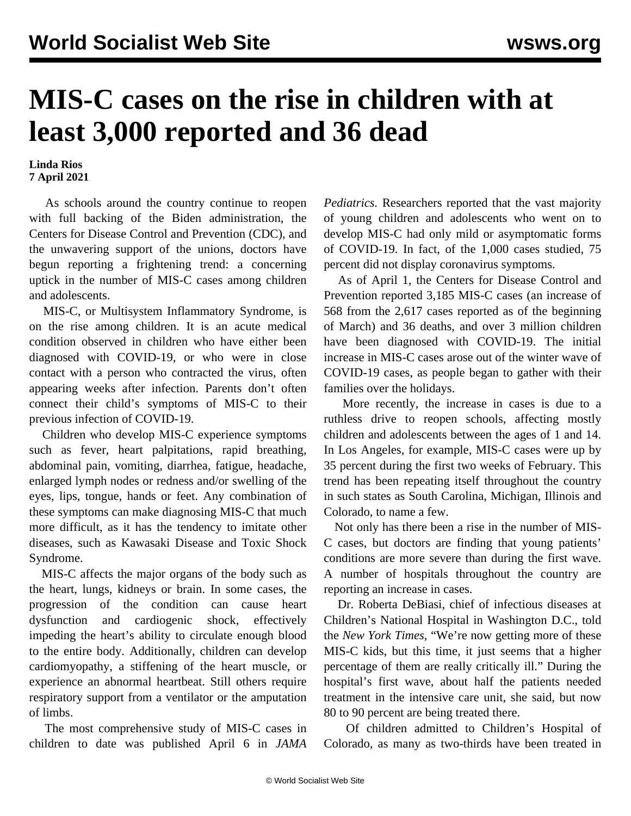## **MIS-C cases on the rise in children with at least 3,000 reported and 36 dead**

**Linda Rios 7 April 2021**

 As schools around the country continue to reopen with full backing of the Biden administration, the Centers for Disease Control and Prevention (CDC), and the unwavering support of the unions, doctors have begun reporting a frightening trend: a concerning uptick in the number of MIS-C cases among children and adolescents.

 MIS-C, or Multisystem Inflammatory Syndrome, is on the rise among children. It is an acute medical condition observed in children who have either been diagnosed with COVID-19, or who were in close contact with a person who contracted the virus, often appearing weeks after infection. Parents don't often connect their child's symptoms of MIS-C to their previous infection of COVID-19.

 Children who develop MIS-C experience symptoms such as fever, heart palpitations, rapid breathing, abdominal pain, vomiting, diarrhea, fatigue, headache, enlarged lymph nodes or redness and/or swelling of the eyes, lips, tongue, hands or feet. Any combination of these symptoms can make diagnosing MIS-C that much more difficult, as it has the tendency to imitate other diseases, such as Kawasaki Disease and Toxic Shock Syndrome.

 MIS-C affects the major organs of the body such as the heart, lungs, kidneys or brain. In some cases, the progression of the condition can cause heart dysfunction and cardiogenic shock, effectively impeding the heart's ability to circulate enough blood to the entire body. Additionally, children can develop cardiomyopathy, a stiffening of the heart muscle, or experience an abnormal heartbeat. Still others require respiratory support from a ventilator or the amputation of limbs.

 The most comprehensive study of MIS-C cases in children to date was [published](https://jamanetwork.com/journals/jamapediatrics/fullarticle/2778430) April 6 in *JAMA* *Pediatrics.* Researchers reported that the vast majority of young children and adolescents who went on to develop MIS-C had only mild or asymptomatic forms of COVID-19. In fact, of the 1,000 cases studied, 75 percent did not display coronavirus symptoms.

 As of April 1, the Centers for Disease Control and Prevention reported 3,185 MIS-C cases (an increase of 568 from the 2,617 cases reported as of the beginning of March) and 36 deaths, and over 3 million children have been diagnosed with COVID-19. The initial increase in MIS-C cases arose out of the winter wave of COVID-19 cases, as people began to gather with their families over the holidays.

 More recently, the increase in cases is due to a ruthless drive to reopen schools, affecting mostly children and adolescents between the ages of 1 and 14. In Los Angeles, for example, MIS-C cases were up by 35 percent during the first two weeks of February. This trend has been repeating itself throughout the country in such states as South Carolina, Michigan, Illinois and Colorado, to name a few.

 Not only has there been a rise in the number of MIS-C cases, but doctors are finding that young patients' conditions are more severe than during the first wave. A number of hospitals throughout the country are reporting an increase in cases.

 Dr. Roberta DeBiasi, chief of infectious diseases at Children's National Hospital in Washington D.C., told the *New York Times*, "We're now getting more of these MIS-C kids, but this time, it just seems that a higher percentage of them are really critically ill." During the hospital's first wave, about half the patients needed treatment in the intensive care unit, she said, but now 80 to 90 percent are being treated there.

 Of children admitted to Children's Hospital of Colorado, as many as two-thirds have been treated in